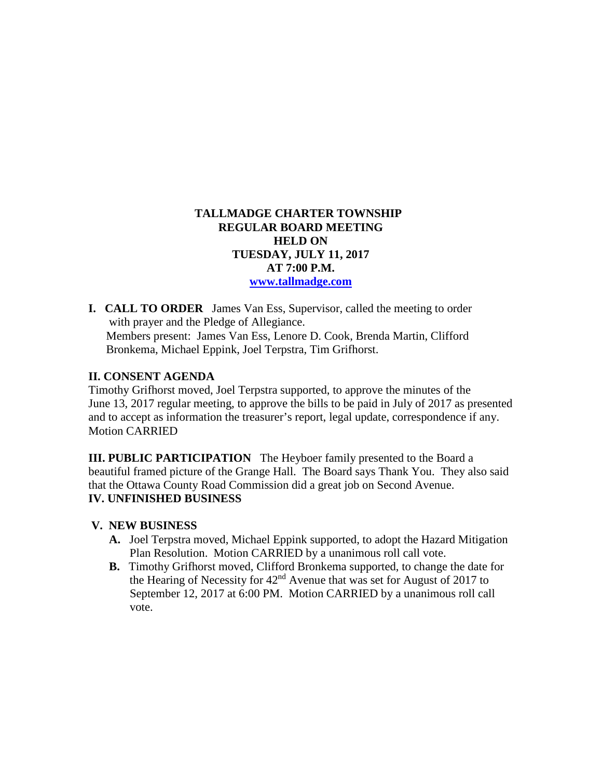# **TALLMADGE CHARTER TOWNSHIP REGULAR BOARD MEETING HELD ON TUESDAY, JULY 11, 2017 AT 7:00 P.M. [www.tallmadge.com](http://www.tallmadge.com/)**

**I. CALL TO ORDER** James Van Ess, Supervisor, called the meeting to order with prayer and the Pledge of Allegiance. Members present: James Van Ess, Lenore D. Cook, Brenda Martin, Clifford Bronkema, Michael Eppink, Joel Terpstra, Tim Grifhorst.

### **II. CONSENT AGENDA**

Timothy Grifhorst moved, Joel Terpstra supported, to approve the minutes of the June 13, 2017 regular meeting, to approve the bills to be paid in July of 2017 as presented and to accept as information the treasurer's report, legal update, correspondence if any. Motion CARRIED

**III. PUBLIC PARTICIPATION** The Heyboer family presented to the Board a beautiful framed picture of the Grange Hall. The Board says Thank You. They also said that the Ottawa County Road Commission did a great job on Second Avenue. **IV. UNFINISHED BUSINESS**

### **V. NEW BUSINESS**

- **A.** Joel Terpstra moved, Michael Eppink supported, to adopt the Hazard Mitigation Plan Resolution. Motion CARRIED by a unanimous roll call vote.
- **B.** Timothy Grifhorst moved, Clifford Bronkema supported, to change the date for the Hearing of Necessity for  $42<sup>nd</sup>$  Avenue that was set for August of 2017 to September 12, 2017 at 6:00 PM. Motion CARRIED by a unanimous roll call vote.